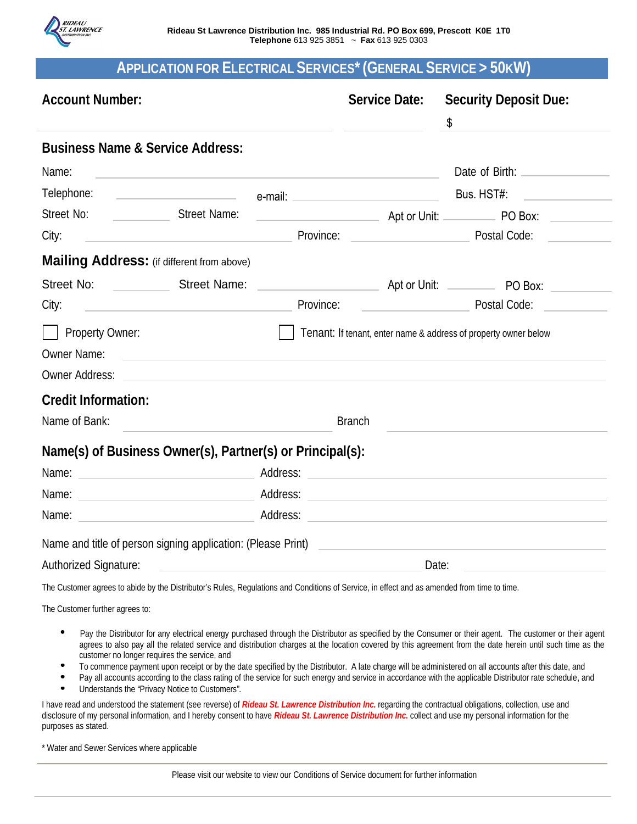

## **APPLICATION FOR ELECTRICAL SERVICES\* (GENERAL SERVICE > 50KW)**

| <b>Account Number:</b>                                                                                                                                                                                                        |                                                                                                                                                                                                                                      | Service Date:                                       | <b>Security Deposit Due:</b><br>\$                                                                                                                                                                                                                                                                                    |
|-------------------------------------------------------------------------------------------------------------------------------------------------------------------------------------------------------------------------------|--------------------------------------------------------------------------------------------------------------------------------------------------------------------------------------------------------------------------------------|-----------------------------------------------------|-----------------------------------------------------------------------------------------------------------------------------------------------------------------------------------------------------------------------------------------------------------------------------------------------------------------------|
| <b>Business Name &amp; Service Address:</b>                                                                                                                                                                                   |                                                                                                                                                                                                                                      |                                                     |                                                                                                                                                                                                                                                                                                                       |
| Name:                                                                                                                                                                                                                         | <u> 1989 - Andrea State Barbara, amerikan personal di sebagai personal di sebagai personal di sebagai personal di</u>                                                                                                                |                                                     |                                                                                                                                                                                                                                                                                                                       |
| Telephone:                                                                                                                                                                                                                    | and the contract of the contract of the contract of the contract of the contract of the contract of the contract of the contract of the contract of the contract of the contract of the contract of the contract of the contra       |                                                     |                                                                                                                                                                                                                                                                                                                       |
|                                                                                                                                                                                                                               |                                                                                                                                                                                                                                      |                                                     |                                                                                                                                                                                                                                                                                                                       |
| City:                                                                                                                                                                                                                         | <u> 1989 - Johann Barbara, martxa alemaniar a</u>                                                                                                                                                                                    |                                                     | Province: <u>Discussion and Postal Code:</u>                                                                                                                                                                                                                                                                          |
| Mailing Address: (if different from above)                                                                                                                                                                                    |                                                                                                                                                                                                                                      |                                                     |                                                                                                                                                                                                                                                                                                                       |
| Street No: Street Name:                                                                                                                                                                                                       |                                                                                                                                                                                                                                      |                                                     |                                                                                                                                                                                                                                                                                                                       |
| City:<br><u> 1980 - Andrea State Barbara, amerikan personal (h. 1980).</u>                                                                                                                                                    | Province:                                                                                                                                                                                                                            | <u> 1990 - Jan Barnett, fransk politiker (d. 19</u> | Postal Code: North Code                                                                                                                                                                                                                                                                                               |
| <b>Property Owner:</b><br><b>Owner Name:</b><br><b>Owner Address:</b>                                                                                                                                                         | <u> Andreas Andreas Andreas Andreas Andreas Andreas Andreas Andreas Andreas Andreas Andreas Andreas Andreas Andreas Andreas Andreas Andreas Andreas Andreas Andreas Andreas Andreas Andreas Andreas Andreas Andreas Andreas Andr</u> |                                                     | Tenant: If tenant, enter name & address of property owner below                                                                                                                                                                                                                                                       |
| <b>Credit Information:</b>                                                                                                                                                                                                    |                                                                                                                                                                                                                                      |                                                     |                                                                                                                                                                                                                                                                                                                       |
| Name of Bank:                                                                                                                                                                                                                 | <b>Branch</b>                                                                                                                                                                                                                        |                                                     |                                                                                                                                                                                                                                                                                                                       |
| Name(s) of Business Owner(s), Partner(s) or Principal(s):                                                                                                                                                                     |                                                                                                                                                                                                                                      |                                                     |                                                                                                                                                                                                                                                                                                                       |
| Name: Name: Name: Name: Name: Name: Name: Name: Name: Name: Name: Name: Name: Name: Name: Name: Name: Name: Name: Name: Name: Name: Name: Name: Name: Name: Name: Name: Name: Name: Name: Name: Name: Name: Name: Name: Name: |                                                                                                                                                                                                                                      |                                                     |                                                                                                                                                                                                                                                                                                                       |
| Name:                                                                                                                                                                                                                         |                                                                                                                                                                                                                                      |                                                     | <u> 1989 - Johann John Stein, markin film yn y breninn y breninn y breninn y breninn y breninn y breninn y brenin</u>                                                                                                                                                                                                 |
| Name and title of person signing application: (Please Print)                                                                                                                                                                  |                                                                                                                                                                                                                                      |                                                     |                                                                                                                                                                                                                                                                                                                       |
| Authorized Signature:                                                                                                                                                                                                         | Date:                                                                                                                                                                                                                                |                                                     |                                                                                                                                                                                                                                                                                                                       |
| The Customer agrees to abide by the Distributor's Rules, Regulations and Conditions of Service, in effect and as amended from time to time.                                                                                   |                                                                                                                                                                                                                                      |                                                     |                                                                                                                                                                                                                                                                                                                       |
| The Customer further agrees to:                                                                                                                                                                                               |                                                                                                                                                                                                                                      |                                                     |                                                                                                                                                                                                                                                                                                                       |
| customer no longer requires the service, and                                                                                                                                                                                  |                                                                                                                                                                                                                                      |                                                     | Pay the Distributor for any electrical energy purchased through the Distributor as specified by the Consumer or their agent. The customer or their agent<br>agrees to also pay all the related service and distribution charges at the location covered by this agreement from the date herein until such time as the |

- $\bullet$ To commence payment upon receipt or by the date specified by the Distributor. A late charge will be administered on all accounts after this date, and
- $\bullet$ Pay all accounts according to the class rating of the service for such energy and service in accordance with the applicable Distributor rate schedule, and  $\bullet$ Understands the "Privacy Notice to Customers".

I have read and understood the statement (see reverse) of *Rideau St. Lawrence Distribution Inc.* regarding the contractual obligations, collection, use and disclosure of my personal information, and I hereby consent to have *Rideau St. Lawrence Distribution Inc.* collect and use my personal information for the purposes as stated.

\* Water and Sewer Services where applicable